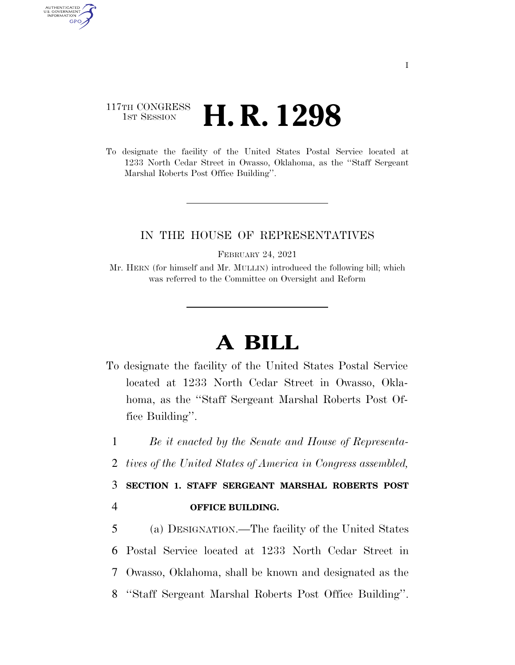## 117TH CONGRESS **1st Session H. R. 1298**

AUTHENTICATED U.S. GOVERNMENT **GPO** 

> To designate the facility of the United States Postal Service located at 1233 North Cedar Street in Owasso, Oklahoma, as the ''Staff Sergeant Marshal Roberts Post Office Building''.

## IN THE HOUSE OF REPRESENTATIVES

FEBRUARY 24, 2021

Mr. HERN (for himself and Mr. MULLIN) introduced the following bill; which was referred to the Committee on Oversight and Reform

## **A BILL**

To designate the facility of the United States Postal Service located at 1233 North Cedar Street in Owasso, Oklahoma, as the ''Staff Sergeant Marshal Roberts Post Office Building''.

1 *Be it enacted by the Senate and House of Representa-*

2 *tives of the United States of America in Congress assembled,* 

3 **SECTION 1. STAFF SERGEANT MARSHAL ROBERTS POST**  4 **OFFICE BUILDING.** 

 (a) DESIGNATION.—The facility of the United States Postal Service located at 1233 North Cedar Street in Owasso, Oklahoma, shall be known and designated as the ''Staff Sergeant Marshal Roberts Post Office Building''.